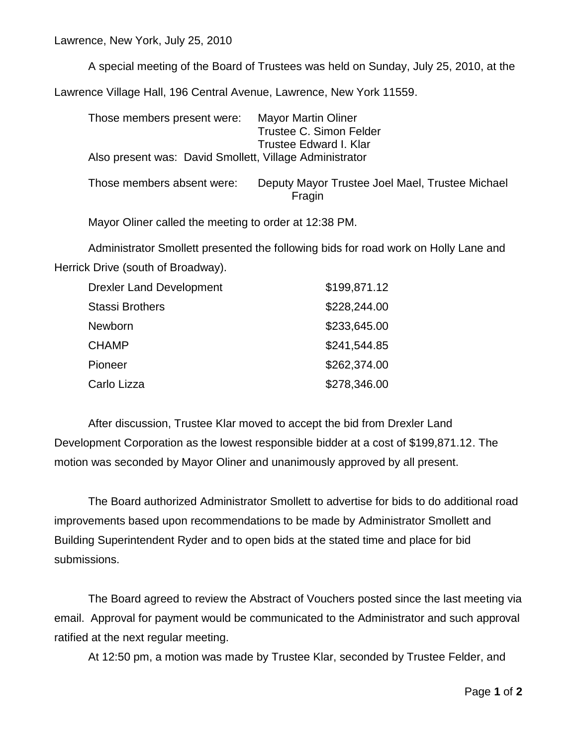Lawrence, New York, July 25, 2010

A special meeting of the Board of Trustees was held on Sunday, July 25, 2010, at the Lawrence Village Hall, 196 Central Avenue, Lawrence, New York 11559.

Those members present were: Mayor Martin Oliner Trustee C. Simon Felder Trustee Edward I. Klar Also present was: David Smollett, Village Administrator Those members absent were: Deputy Mayor Trustee Joel Mael, Trustee Michael Fragin

Mayor Oliner called the meeting to order at 12:38 PM.

Administrator Smollett presented the following bids for road work on Holly Lane and Herrick Drive (south of Broadway).

| <b>Drexler Land Development</b> | \$199,871.12 |
|---------------------------------|--------------|
| <b>Stassi Brothers</b>          | \$228,244.00 |
| <b>Newborn</b>                  | \$233,645.00 |
| <b>CHAMP</b>                    | \$241,544.85 |
| Pioneer                         | \$262,374.00 |
| Carlo Lizza                     | \$278,346.00 |

After discussion, Trustee Klar moved to accept the bid from Drexler Land Development Corporation as the lowest responsible bidder at a cost of \$199,871.12. The motion was seconded by Mayor Oliner and unanimously approved by all present.

The Board authorized Administrator Smollett to advertise for bids to do additional road improvements based upon recommendations to be made by Administrator Smollett and Building Superintendent Ryder and to open bids at the stated time and place for bid submissions.

The Board agreed to review the Abstract of Vouchers posted since the last meeting via email. Approval for payment would be communicated to the Administrator and such approval ratified at the next regular meeting.

At 12:50 pm, a motion was made by Trustee Klar, seconded by Trustee Felder, and